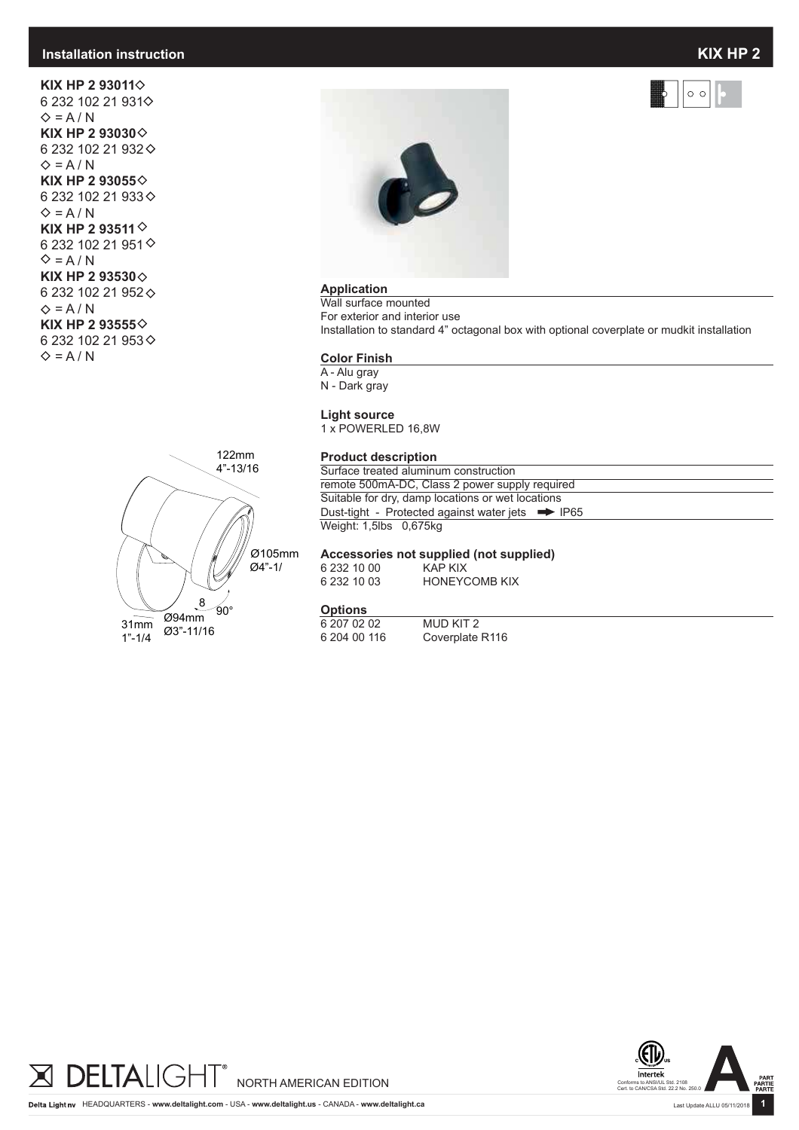#### **Installation instruction**

**KIX HP 2 93011** 6 232 102 21 931  $\diamond$  = A / N **KIX HP 2 93030**  6 232 102 21 932  $\Leftrightarrow$  = A / N **KIX HP 2 93055** 6 232 102 21 933  $\diamond$  = A / N **KIX HP 2 93511** 6 232 102 21 951  $\Leftrightarrow$  = A / N **KIX HP 2 93530**  6 232 102 21 952  $\Diamond$  = A / N **KIX HP 2 93555** 6 232 102 21 953  $\Leftrightarrow$  = A / N





#### **Application**

Wall surface mounted For exterior and interior use Installation to standard 4" octagonal box with optional coverplate or mudkit installation

#### **Color Finish**

A - Alu gray

N - Dark gray

#### **Light source**

1 x POWERLED 16,8W

#### **Product description**

Surface treated aluminum construction remote 500mA-DC, Class 2 power supply required Suitable for dry, damp locations or wet locations Dust-tight - Protected against water jets  $\implies$  IP65 Weight: 1,5lbs 0,675kg

### **Accessories not supplied (not supplied)**

6 232 10 00<br>6 232 10 03

**HONEYCOMB KIX** 

#### **Options**

| 6 207 02 02  | MUD KIT 2                   |
|--------------|-----------------------------|
| 6 204 00 116 | Coverplate R <sub>116</sub> |





 $\circ$   $\circ$ 

Last Update ALLU 05/11/2018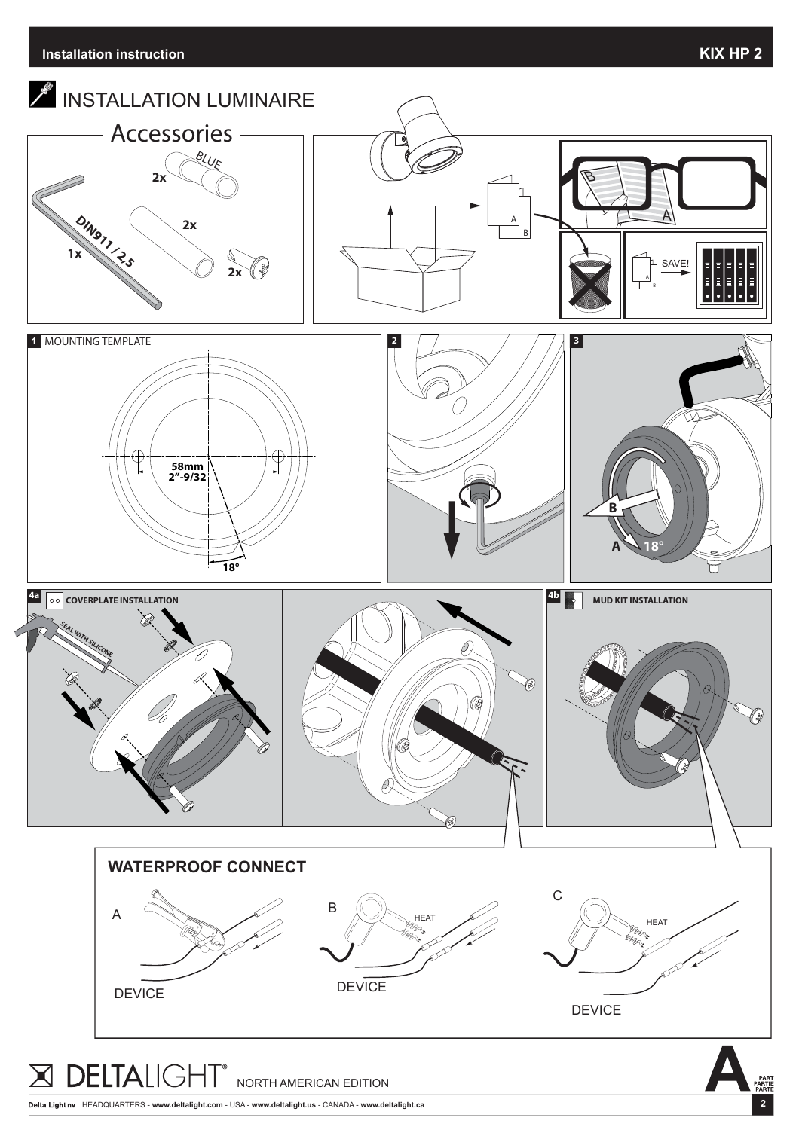**2**



HEADQUARTERS - **www.deltalight.com** - USA - **www.deltalight.us** - CANADA - **www.deltalight.ca**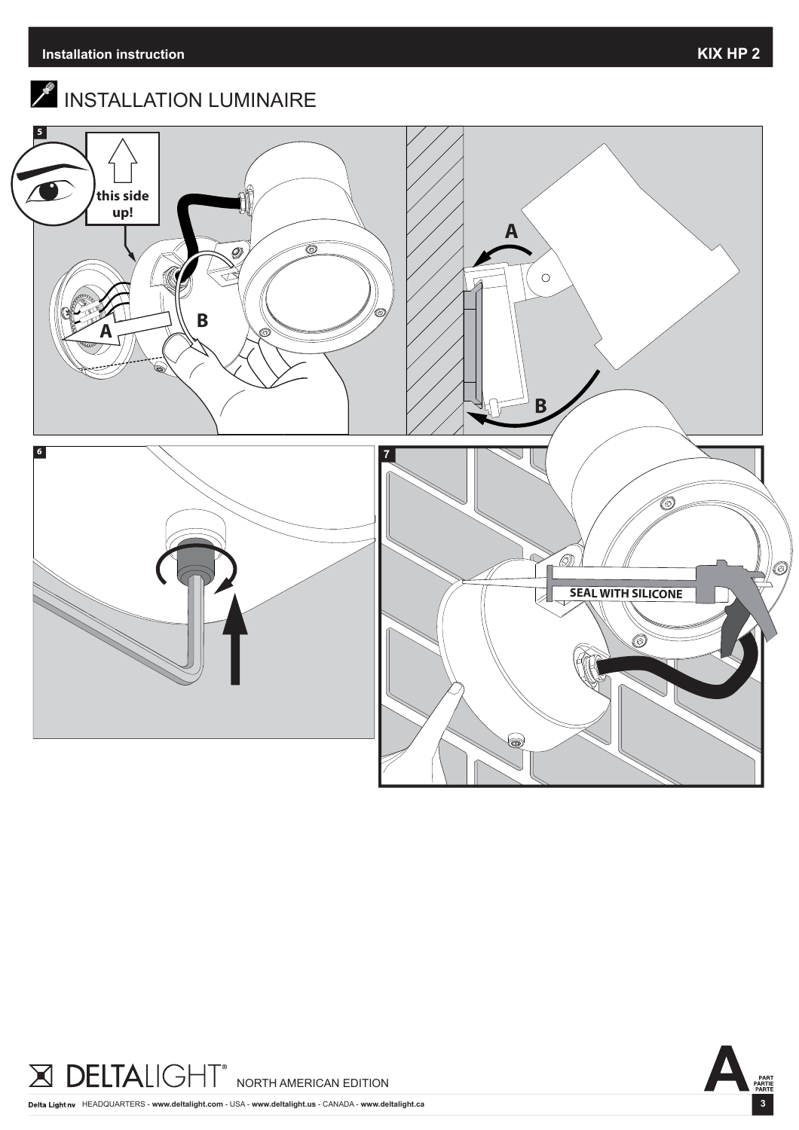

# $\mathscr{E}$  INSTALLATION LUMINAIRE







HEADQUARTERS - **www.deltalight.com** - USA - **www.deltalight.us** - CANADA - **www.deltalight.ca**